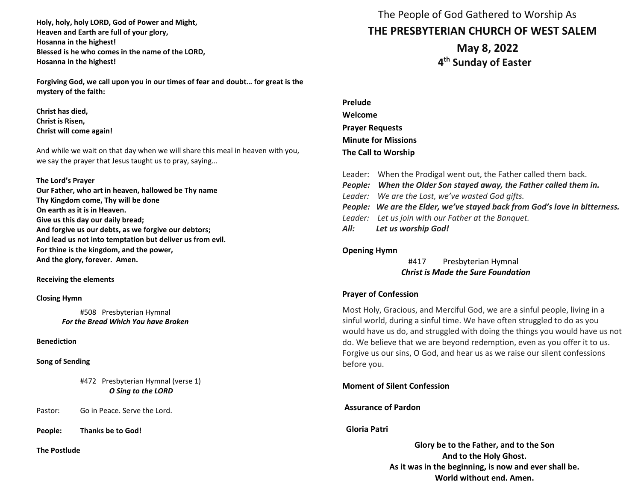**Holy, holy, holy LORD, God of Power and Might, Heaven and Earth are full of your glory, Hosanna in the highest! Blessed is he who comes in the name of the LORD, Hosanna in the highest!** 

**Forgiving God, we call upon you in our times of fear and doubt… for great is the mystery of the faith:**

**Christ has died, Christ is Risen, Christ will come again!**

And while we wait on that day when we will share this meal in heaven with you, we say the prayer that Jesus taught us to pray, saying...

#### **The Lord's Prayer**

**Our Father, who art in heaven, hallowed be Thy name Thy Kingdom come, Thy will be done On earth as it is in Heaven. Give us this day our daily bread; And forgive us our debts, as we forgive our debtors; And lead us not into temptation but deliver us from evil. For thine is the kingdom, and the power, And the glory, forever. Amen.** 

#### **Receiving the elements**

#### **Closing Hymn**

#508 Presbyterian Hymnal  *For the Bread Which You have Broken*

### **Benediction**

#### **Song of Sending**

#472 Presbyterian Hymnal (verse 1) *O Sing to the LORD*

Pastor: Go in Peace. Serve the Lord.

**People: Thanks be to God!** 

**The Postlude**

 The People of God Gathered to Worship As **THE PRESBYTERIAN CHURCH OF WEST SALEM**

> **May 8, 2022 4 th Sunday of Easter**

| Prelude                    |
|----------------------------|
| Welcome                    |
| <b>Prayer Requests</b>     |
| <b>Minute for Missions</b> |
| The Call to Worship        |

| Leader: When the Prodigal went out, the Father called them back.           |
|----------------------------------------------------------------------------|
| People: When the Older Son stayed away, the Father called them in.         |
| Leader: We are the Lost, we've wasted God gifts.                           |
| People: We are the Elder, we've stayed back from God's love in bitterness. |
| Leader: Let us join with our Father at the Banquet.                        |
| All: Let us worship God!                                                   |

#### **Opening Hymn**

#417 Presbyterian Hymnal *Christ is Made the Sure Foundation*

### **Prayer of Confession**

Most Holy, Gracious, and Merciful God, we are a sinful people, living in a sinful world, during a sinful time. We have often struggled to do as you would have us do, and struggled with doing the things you would have us not do. We believe that we are beyond redemption, even as you offer it to us. Forgive us our sins, O God, and hear us as we raise our silent confessions before you.

### **Moment of Silent Confession**

**Assurance of Pardon** 

### **Gloria Patri**

**Glory be to the Father, and to the Son And to the Holy Ghost. As it was in the beginning, is now and ever shall be. World without end. Amen.**